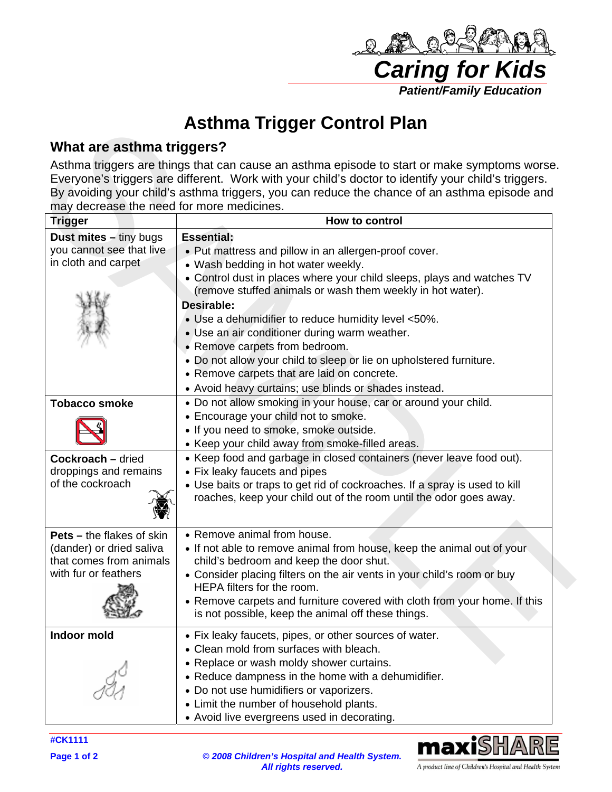

maxiSH

A product line of Children's Hospital and Health System

## **Asthma Trigger Control Plan**

## **What are asthma triggers?**

| Asthma Trigger Control Plan                                                                                     |                                                                                                                                                                                                                                                                                                                                                                                                                                                                                                                                                                                                  |
|-----------------------------------------------------------------------------------------------------------------|--------------------------------------------------------------------------------------------------------------------------------------------------------------------------------------------------------------------------------------------------------------------------------------------------------------------------------------------------------------------------------------------------------------------------------------------------------------------------------------------------------------------------------------------------------------------------------------------------|
| What are asthma triggers?                                                                                       |                                                                                                                                                                                                                                                                                                                                                                                                                                                                                                                                                                                                  |
| may decrease the need for more medicines.                                                                       | Asthma triggers are things that can cause an asthma episode to start or make symptoms worse.<br>Everyone's triggers are different. Work with your child's doctor to identify your child's triggers.<br>By avoiding your child's asthma triggers, you can reduce the chance of an asthma episode and                                                                                                                                                                                                                                                                                              |
| <b>Trigger</b>                                                                                                  | How to control                                                                                                                                                                                                                                                                                                                                                                                                                                                                                                                                                                                   |
| Dust mites - tiny bugs<br>you cannot see that live<br>in cloth and carpet                                       | <b>Essential:</b><br>• Put mattress and pillow in an allergen-proof cover.<br>• Wash bedding in hot water weekly.<br>• Control dust in places where your child sleeps, plays and watches TV<br>(remove stuffed animals or wash them weekly in hot water).<br>Desirable:<br>• Use a dehumidifier to reduce humidity level <50%.<br>• Use an air conditioner during warm weather.<br>• Remove carpets from bedroom.<br>• Do not allow your child to sleep or lie on upholstered furniture.<br>• Remove carpets that are laid on concrete.<br>• Avoid heavy curtains; use blinds or shades instead. |
| <b>Tobacco smoke</b>                                                                                            | . Do not allow smoking in your house, car or around your child.<br>• Encourage your child not to smoke.<br>• If you need to smoke, smoke outside.<br>• Keep your child away from smoke-filled areas.                                                                                                                                                                                                                                                                                                                                                                                             |
| <b>Cockroach - dried</b><br>droppings and remains<br>of the cockroach                                           | • Keep food and garbage in closed containers (never leave food out).<br>• Fix leaky faucets and pipes<br>• Use baits or traps to get rid of cockroaches. If a spray is used to kill<br>roaches, keep your child out of the room until the odor goes away.                                                                                                                                                                                                                                                                                                                                        |
| <b>Pets</b> – the flakes of skin<br>(dander) or dried saliva<br>that comes from animals<br>with fur or feathers | • Remove animal from house.<br>• If not able to remove animal from house, keep the animal out of your<br>child's bedroom and keep the door shut.<br>• Consider placing filters on the air vents in your child's room or buy<br>HEPA filters for the room.<br>• Remove carpets and furniture covered with cloth from your home. If this<br>is not possible, keep the animal off these things.                                                                                                                                                                                                     |
| Indoor mold                                                                                                     | • Fix leaky faucets, pipes, or other sources of water.<br>• Clean mold from surfaces with bleach.<br>• Replace or wash moldy shower curtains.<br>• Reduce dampness in the home with a dehumidifier.<br>• Do not use humidifiers or vaporizers.<br>• Limit the number of household plants.<br>• Avoid live evergreens used in decorating.                                                                                                                                                                                                                                                         |

**#CK1111** 

**Page 1 of 2** *© 2008 Children's Hospital and Health System. All rights reserved.*